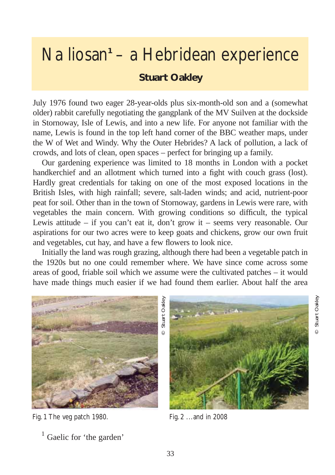## Na liosan<sup>1</sup> – a Hebridean experience **Stuart Oakley**

July 1976 found two eager 28-year-olds plus six-month-old son and a (somewhat older) rabbit carefully negotiating the gangplank of the MV Suilven at the dockside in Stornoway, Isle of Lewis, and into a new life. For anyone not familiar with the name, Lewis is found in the top left hand corner of the BBC weather maps, under the W of Wet and Windy. Why the Outer Hebrides? A lack of pollution, a lack of crowds, and lots of clean, open spaces – perfect for bringing up a family.

Our gardening experience was limited to 18 months in London with a pocket handkerchief and an allotment which turned into a fight with couch grass (lost). Hardly great credentials for taking on one of the most exposed locations in the British Isles, with high rainfall; severe, salt-laden winds; and acid, nutrient-poor peat for soil. Other than in the town of Stornoway, gardens in Lewis were rare, with vegetables the main concern. With growing conditions so difficult, the typical Lewis attitude – if you can't eat it, don't grow it – seems very reasonable. Our aspirations for our two acres were to keep goats and chickens, grow our own fruit and vegetables, cut hay, and have a few flowers to look nice.

Initially the land was rough grazing, although there had been a vegetable patch in the 1920s but no one could remember where. We have since come across some areas of good, friable soil which we assume were the cultivated patches – it would have made things much easier if we had found them earlier. About half the area



Fig. 1 The veg patch 1980. Fig. 2 ...and in 2008

 $<sup>1</sup>$  Gaelic for 'the garden'</sup>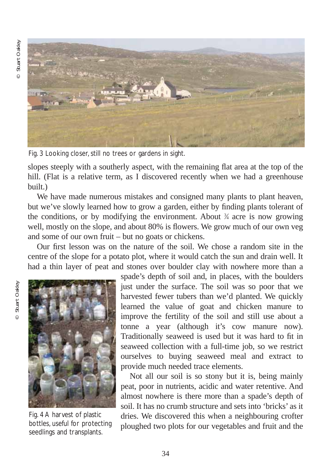Stuart Oakley © Stuart Oakley  $\circ$ 



Fig. 3 Looking closer, still no trees or gardens in sight.

slopes steeply with a southerly aspect, with the remaining flat area at the top of the hill. (Flat is a relative term, as I discovered recently when we had a greenhouse built.)

We have made numerous mistakes and consigned many plants to plant heaven, but we've slowly learned how to grow a garden, either by finding plants tolerant of the conditions, or by modifying the environment. About  $\frac{3}{4}$  acre is now growing well, mostly on the slope, and about 80% is flowers. We grow much of our own veg and some of our own fruit – but no goats or chickens.

Our first lesson was on the nature of the soil. We chose a random site in the centre of the slope for a potato plot, where it would catch the sun and drain well. It had a thin layer of peat and stones over boulder clay with nowhere more than a



Fig. 4 A harvest of plastic bottles, useful for protecting seedlings and transplants.

spade's depth of soil and, in places, with the boulders just under the surface. The soil was so poor that we harvested fewer tubers than we'd planted. We quickly learned the value of goat and chicken manure to improve the fertility of the soil and still use about a tonne a year (although it's cow manure now). Traditionally seaweed is used but it was hard to fit in seaweed collection with a full-time job, so we restrict ourselves to buying seaweed meal and extract to provide much needed trace elements.

Not all our soil is so stony but it is, being mainly peat, poor in nutrients, acidic and water retentive. And almost nowhere is there more than a spade's depth of soil. It has no crumb structure and sets into 'bricks' as it dries. We discovered this when a neighbouring crofter ploughed two plots for our vegetables and fruit and the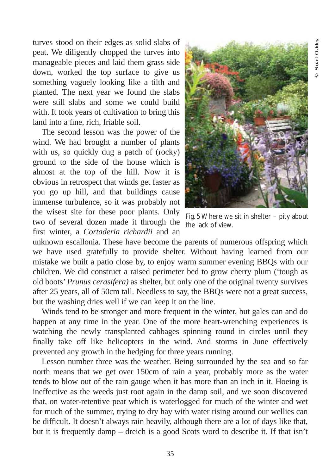turves stood on their edges as solid slabs of peat. We diligently chopped the turves into manageable pieces and laid them grass side down, worked the top surface to give us something vaguely looking like a tilth and planted. The next year we found the slabs were still slabs and some we could build with. It took years of cultivation to bring this land into a fine, rich, friable soil.

The second lesson was the power of the wind. We had brought a number of plants with us, so quickly dug a patch of (rocky) ground to the side of the house which is almost at the top of the hill. Now it is obvious in retrospect that winds get faster as you go up hill, and that buildings cause immense turbulence, so it was probably not the wisest site for these poor plants. Only two of several dozen made it through the first winter, a *Cortaderia richardii* and an



Fig. 5 Where we sit in shelter – pity about the lack of view.

unknown escallonia. These have become the parents of numerous offspring which we have used gratefully to provide shelter. Without having learned from our mistake we built a patio close by, to enjoy warm summer evening BBQs with our children. We did construct a raised perimeter bed to grow cherry plum ('tough as old boots' *Prunus cerasifera)* as shelter, but only one of the original twenty survives after 25 years, all of 50cm tall. Needless to say, the BBQs were not a great success, but the washing dries well if we can keep it on the line.

Winds tend to be stronger and more frequent in the winter, but gales can and do happen at any time in the year. One of the more heart-wrenching experiences is watching the newly transplanted cabbages spinning round in circles until they finally take off like helicopters in the wind. And storms in June effectively prevented any growth in the hedging for three years running.

Lesson number three was the weather. Being surrounded by the sea and so far north means that we get over 150cm of rain a year, probably more as the water tends to blow out of the rain gauge when it has more than an inch in it. Hoeing is ineffective as the weeds just root again in the damp soil, and we soon discovered that, on water-retentive peat which is waterlogged for much of the winter and wet for much of the summer, trying to dry hay with water rising around our wellies can be difficult. It doesn't always rain heavily, although there are a lot of days like that, but it is frequently damp – dreich is a good Scots word to describe it. If that isn't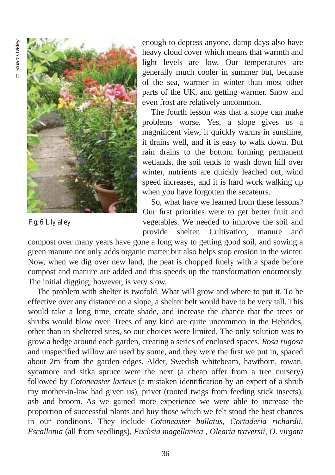

Fig, 6 Lily alley

enough to depress anyone, damp days also have heavy cloud cover which means that warmth and light levels are low. Our temperatures are generally much cooler in summer but, because of the sea, warmer in winter than most other parts of the UK, and getting warmer. Snow and even frost are relatively uncommon.

The fourth lesson was that a slope can make problems worse. Yes, a slope gives us a magnificent view, it quickly warms in sunshine, it drains well, and it is easy to walk down. But rain drains to the bottom forming permanent wetlands, the soil tends to wash down hill over winter, nutrients are quickly leached out, wind speed increases, and it is hard work walking up when you have forgotten the secateurs.

So, what have we learned from these lessons? Our first priorities were to get better fruit and vegetables. We needed to improve the soil and provide shelter. Cultivation, manure and

compost over many years have gone a long way to getting good soil, and sowing a green manure not only adds organic matter but also helps stop erosion in the winter. Now, when we dig over new land, the peat is chopped finely with a spade before compost and manure are added and this speeds up the transformation enormously. The initial digging, however, is very slow.

The problem with shelter is twofold. What will grow and where to put it. To be effective over any distance on a slope, a shelter belt would have to be very tall. This would take a long time, create shade, and increase the chance that the trees or shrubs would blow over. Trees of any kind are quite uncommon in the Hebrides, other than in sheltered sites, so our choices were limited. The only solution was to grow a hedge around each garden, creating a series of enclosed spaces. *Rosa rugosa* and unspecified willow are used by some, and they were the first we put in, spaced about 2m from the garden edges. Alder, Swedish whitebeam, hawthorn, rowan, sycamore and sitka spruce were the next (a cheap offer from a tree nursery) followed by *Cotoneaster lacteus* (a mistaken identification by an expert of a shrub my mother-in-law had given us), privet (rooted twigs from feeding stick insects), ash and broom. As we gained more experience we were able to increase the proportion of successful plants and buy those which we felt stood the best chances in our conditions. They include *Cotoneaster bullatus, Cortaderia richardii, Escallonia* (all from seedlings), *Fuchsia magellanica , Olearia traversii, O. virgata*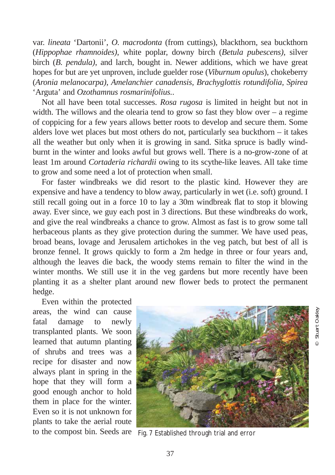var. *lineata* 'Dartonii', *O. macrodonta* (from cuttings), blackthorn, sea buckthorn (*Hippophae rhamnoides)*, white poplar, downy birch (*Betula pubescens)*, silver birch (*B. pendula)*, and larch*,* bought in. Newer additions, which we have great hopes for but are yet unproven, include guelder rose (*Viburnum opulus*), chokeberry (*Aronia melanocarpa)*, *Amelanchier canadensis, Brachyglottis rotundifolia, Spirea* 'Arguta' and *Ozothamnus rosmarinifolius.*.

Not all have been total successes. *Rosa rugosa* is limited in height but not in width. The willows and the olearia tend to grow so fast they blow over  $-$  a regime of coppicing for a few years allows better roots to develop and secure them. Some alders love wet places but most others do not, particularly sea buckthorn – it takes all the weather but only when it is growing in sand. Sitka spruce is badly windburnt in the winter and looks awful but grows well. There is a no-grow-zone of at least 1m around *Cortaderia richardii* owing to its scythe-like leaves. All take time to grow and some need a lot of protection when small.

For faster windbreaks we did resort to the plastic kind. However they are expensive and have a tendency to blow away, particularly in wet (i.e. soft) ground. I still recall going out in a force 10 to lay a 30m windbreak flat to stop it blowing away. Ever since, we guy each post in 3 directions. But these windbreaks do work, and give the real windbreaks a chance to grow. Almost as fast is to grow some tall herbaceous plants as they give protection during the summer. We have used peas, broad beans, lovage and Jerusalem artichokes in the veg patch, but best of all is bronze fennel. It grows quickly to form a 2m hedge in three or four years and, although the leaves die back, the woody stems remain to filter the wind in the winter months. We still use it in the veg gardens but more recently have been planting it as a shelter plant around new flower beds to protect the permanent hedge.

Even within the protected areas, the wind can cause fatal damage to newly transplanted plants. We soon learned that autumn planting of shrubs and trees was a recipe for disaster and now always plant in spring in the hope that they will form a good enough anchor to hold them in place for the winter. Even so it is not unknown for plants to take the aerial route



to the compost bin. Seeds are Fig. 7 Established through trial and error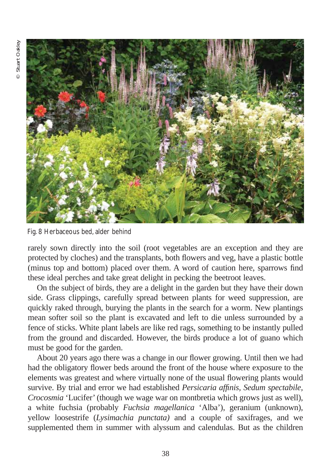

Fig. 8 Herbaceous bed, alder behind

rarely sown directly into the soil (root vegetables are an exception and they are protected by cloches) and the transplants, both flowers and veg, have a plastic bottle (minus top and bottom) placed over them. A word of caution here, sparrows find these ideal perches and take great delight in pecking the beetroot leaves.

On the subject of birds, they are a delight in the garden but they have their down side. Grass clippings, carefully spread between plants for weed suppression, are quickly raked through, burying the plants in the search for a worm. New plantings mean softer soil so the plant is excavated and left to die unless surrounded by a fence of sticks. White plant labels are like red rags, something to be instantly pulled from the ground and discarded. However, the birds produce a lot of guano which must be good for the garden.

About 20 years ago there was a change in our flower growing. Until then we had had the obligatory flower beds around the front of the house where exposure to the elements was greatest and where virtually none of the usual flowering plants would survive. By trial and error we had established *Persicaria affinis, Sedum spectabile, Crocosmia* 'Lucifer' (though we wage war on montbretia which grows just as well), a white fuchsia (probably *Fuchsia magellanica* 'Alba'), geranium (unknown), yellow loosestrife (*Lysimachia punctata)* and a couple of saxifrages, and we supplemented them in summer with alyssum and calendulas. But as the children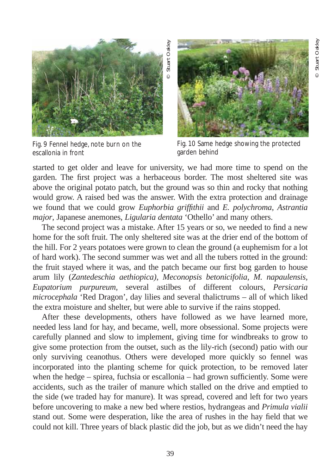

Fig. 9 Fennel hedge, note burn on the escallonia in front



Fig. 10 Same hedge showing the protected garden behind

started to get older and leave for university, we had more time to spend on the garden. The first project was a herbaceous border. The most sheltered site was above the original potato patch, but the ground was so thin and rocky that nothing would grow. A raised bed was the answer. With the extra protection and drainage we found that we could grow *Euphorbia griffithii* and *E. polychroma*, *Astrantia major*, Japanese anemones, *Ligularia dentata* 'Othello' and many others.

The second project was a mistake. After 15 years or so, we needed to find a new home for the soft fruit. The only sheltered site was at the drier end of the bottom of the hill. For 2 years potatoes were grown to clean the ground (a euphemism for a lot of hard work). The second summer was wet and all the tubers rotted in the ground: the fruit stayed where it was, and the patch became our first bog garden to house arum lily (*Zantedeschia aethiopica)*, *Meconopsis betonicifolia, M. napaulensis, Eupatorium purpureum,* several astilbes of different colours*, Persicaria microcephala* 'Red Dragon', day lilies and several thalictrums – all of which liked the extra moisture and shelter, but were able to survive if the rains stopped.

After these developments, others have followed as we have learned more, needed less land for hay, and became, well, more obsessional. Some projects were carefully planned and slow to implement, giving time for windbreaks to grow to give some protection from the outset, such as the lily-rich (second) patio with our only surviving ceanothus. Others were developed more quickly so fennel was incorporated into the planting scheme for quick protection, to be removed later when the hedge – spirea, fuchsia or escallonia – had grown sufficiently. Some were accidents, such as the trailer of manure which stalled on the drive and emptied to the side (we traded hay for manure). It was spread, covered and left for two years before uncovering to make a new bed where restios, hydrangeas and *Primula vialii* stand out. Some were desperation, like the area of rushes in the hay field that we could not kill. Three years of black plastic did the job, but as we didn't need the hay